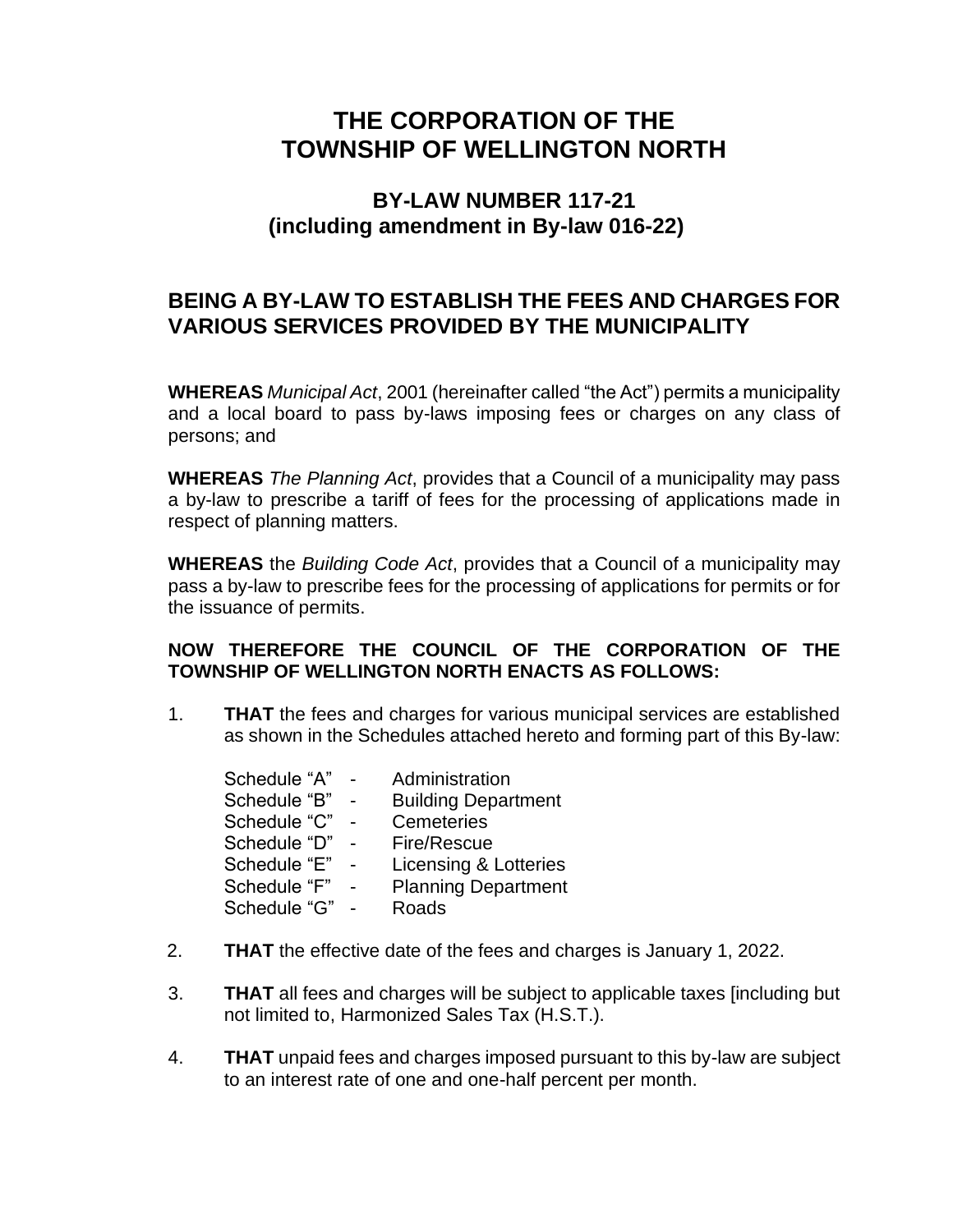# **THE CORPORATION OF THE TOWNSHIP OF WELLINGTON NORTH**

## **BY-LAW NUMBER 117-21 (including amendment in By-law 016-22)**

## **BEING A BY-LAW TO ESTABLISH THE FEES AND CHARGES FOR VARIOUS SERVICES PROVIDED BY THE MUNICIPALITY**

**WHEREAS** *Municipal Act*, 2001 (hereinafter called "the Act") permits a municipality and a local board to pass by-laws imposing fees or charges on any class of persons; and

**WHEREAS** *The Planning Act*, provides that a Council of a municipality may pass a by-law to prescribe a tariff of fees for the processing of applications made in respect of planning matters.

**WHEREAS** the *Building Code Act*, provides that a Council of a municipality may pass a by-law to prescribe fees for the processing of applications for permits or for the issuance of permits.

#### **NOW THEREFORE THE COUNCIL OF THE CORPORATION OF THE TOWNSHIP OF WELLINGTON NORTH ENACTS AS FOLLOWS:**

1. **THAT** the fees and charges for various municipal services are established as shown in the Schedules attached hereto and forming part of this By-law:

| Schedule "A" | Administration             |
|--------------|----------------------------|
| Schedule "B" | <b>Building Department</b> |
| Schedule "C" | Cemeteries                 |
| Schedule "D" | Fire/Rescue                |
| Schedule "E" | Licensing & Lotteries      |
| Schedule "F" | <b>Planning Department</b> |
| Schedule "G" | Roads                      |
|              |                            |

- 2. **THAT** the effective date of the fees and charges is January 1, 2022.
- 3. **THAT** all fees and charges will be subject to applicable taxes [including but not limited to, Harmonized Sales Tax (H.S.T.).
- 4. **THAT** unpaid fees and charges imposed pursuant to this by-law are subject to an interest rate of one and one-half percent per month.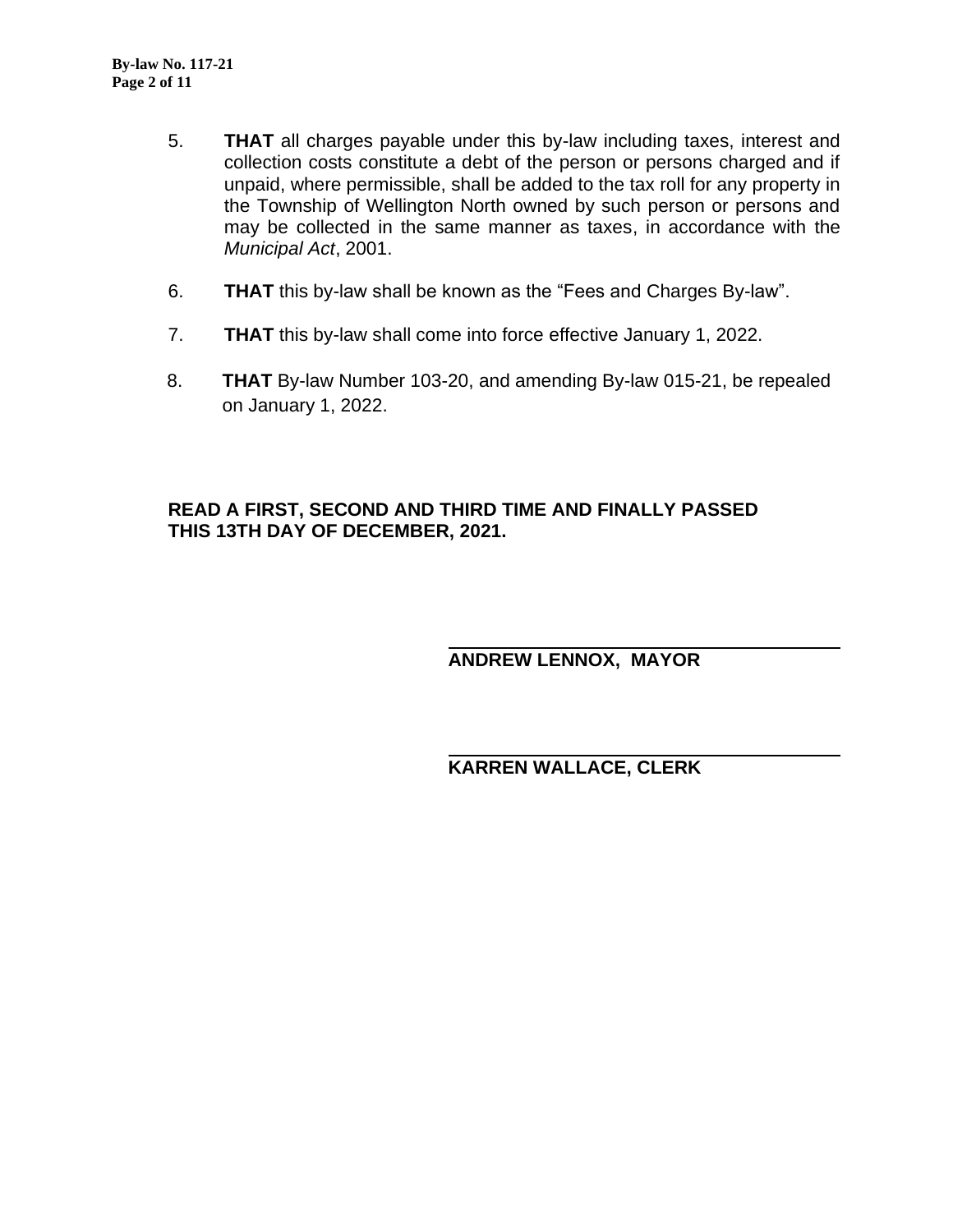- 5. **THAT** all charges payable under this by-law including taxes, interest and collection costs constitute a debt of the person or persons charged and if unpaid, where permissible, shall be added to the tax roll for any property in the Township of Wellington North owned by such person or persons and may be collected in the same manner as taxes, in accordance with the *Municipal Act*, 2001.
- 6. **THAT** this by-law shall be known as the "Fees and Charges By-law".
- 7. **THAT** this by-law shall come into force effective January 1, 2022.
- 8. **THAT** By-law Number 103-20, and amending By-law 015-21, be repealed on January 1, 2022.

#### **READ A FIRST, SECOND AND THIRD TIME AND FINALLY PASSED THIS 13TH DAY OF DECEMBER, 2021.**

**ANDREW LENNOX, MAYOR**

**KARREN WALLACE, CLERK**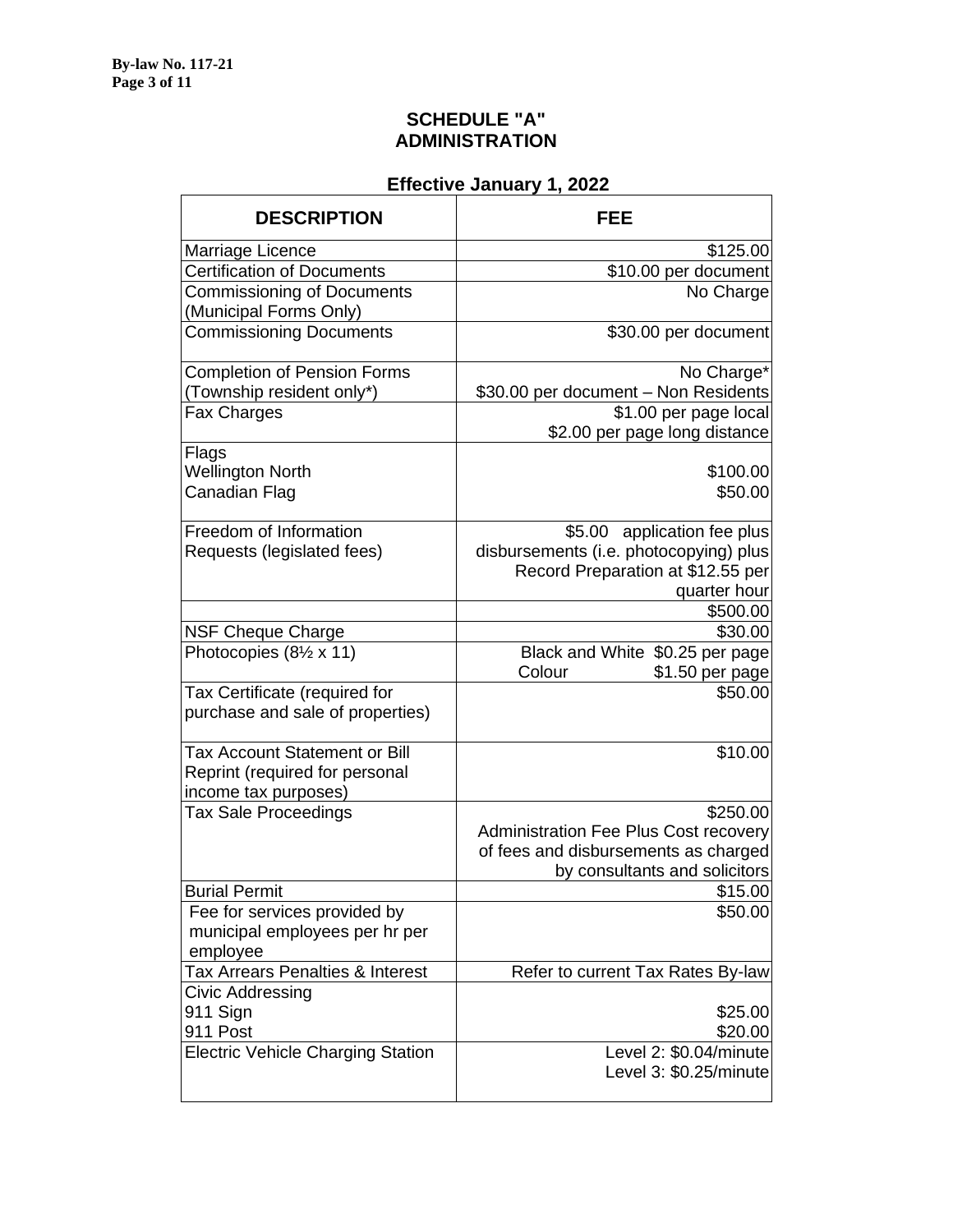#### **SCHEDULE "A" ADMINISTRATION**

| <b>DESCRIPTION</b>                       | FEE                                    |
|------------------------------------------|----------------------------------------|
| Marriage Licence                         | \$125.00                               |
| <b>Certification of Documents</b>        | \$10.00 per document                   |
| <b>Commissioning of Documents</b>        | No Charge                              |
| (Municipal Forms Only)                   |                                        |
| <b>Commissioning Documents</b>           | \$30.00 per document                   |
| <b>Completion of Pension Forms</b>       | No Charge*                             |
| (Township resident only*)                | \$30.00 per document - Non Residents   |
| Fax Charges                              | \$1.00 per page local                  |
|                                          | \$2.00 per page long distance          |
| Flags                                    |                                        |
| <b>Wellington North</b>                  | \$100.00                               |
| Canadian Flag                            | \$50.00                                |
| Freedom of Information                   | application fee plus<br>\$5.00         |
| Requests (legislated fees)               | disbursements (i.e. photocopying) plus |
|                                          | Record Preparation at \$12.55 per      |
|                                          | quarter hour                           |
|                                          | \$500.00                               |
| <b>NSF Cheque Charge</b>                 | \$30.00                                |
| Photocopies $(8\frac{1}{2} \times 11)$   | Black and White \$0.25 per page        |
|                                          | Colour<br>\$1.50 per page              |
| Tax Certificate (required for            | \$50.00                                |
| purchase and sale of properties)         |                                        |
| <b>Tax Account Statement or Bill</b>     | \$10.00                                |
| Reprint (required for personal           |                                        |
| income tax purposes)                     |                                        |
| <b>Tax Sale Proceedings</b>              | \$250.00                               |
|                                          | Administration Fee Plus Cost recovery  |
|                                          | of fees and disbursements as charged   |
|                                          | by consultants and solicitors          |
| <b>Burial Permit</b>                     | \$15.00                                |
| Fee for services provided by             | \$50.00                                |
| municipal employees per hr per           |                                        |
| employee                                 |                                        |
| Tax Arrears Penalties & Interest         | Refer to current Tax Rates By-law      |
| Civic Addressing                         |                                        |
| 911 Sign                                 | \$25.00                                |
| 911 Post                                 | \$20.00                                |
| <b>Electric Vehicle Charging Station</b> | Level 2: \$0.04/minute                 |
|                                          | Level 3: \$0.25/minute                 |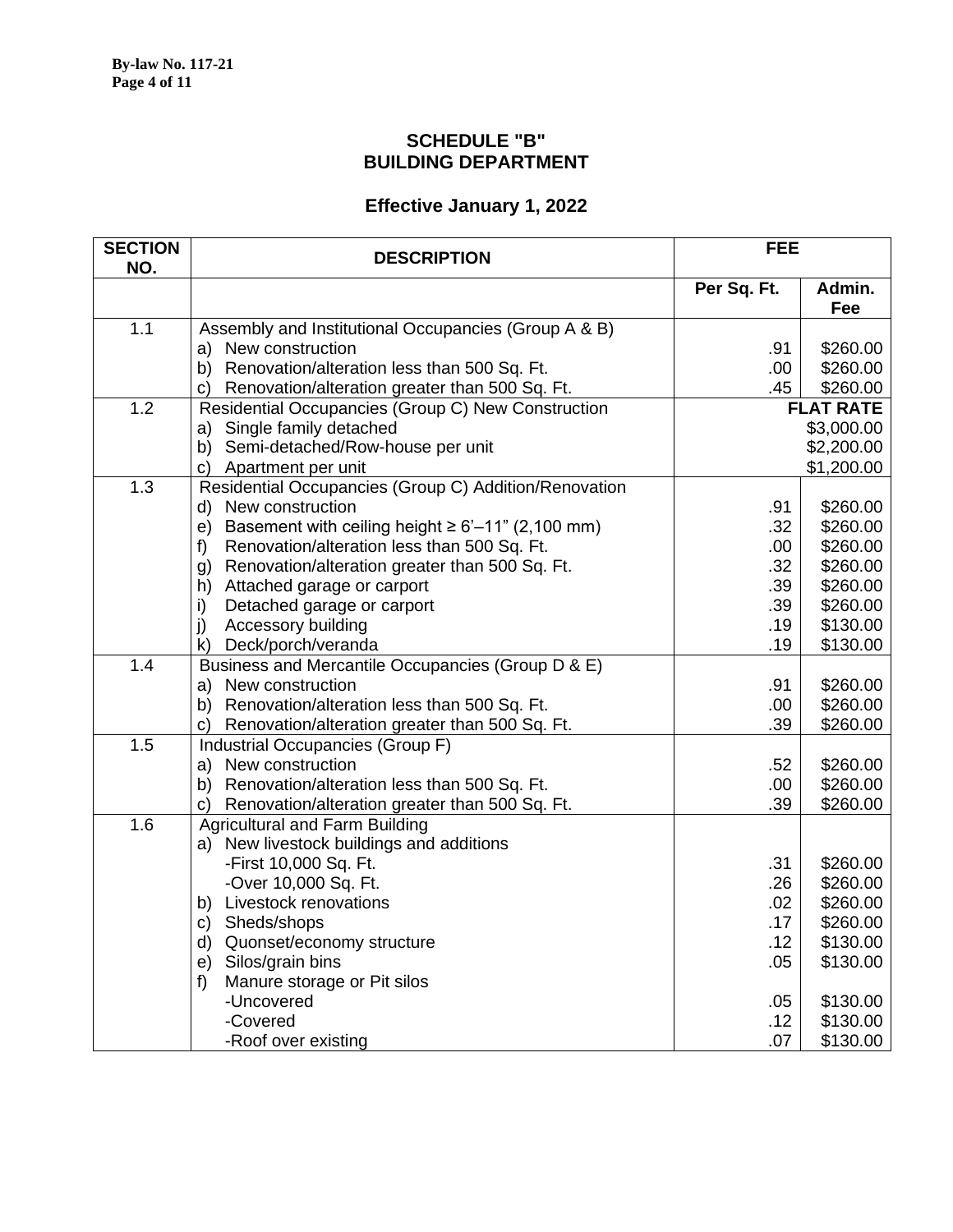#### **SCHEDULE "B" BUILDING DEPARTMENT**

| <b>SECTION</b><br>NO. | <b>DESCRIPTION</b>                                                | <b>FEE</b>  |                  |
|-----------------------|-------------------------------------------------------------------|-------------|------------------|
|                       |                                                                   | Per Sq. Ft. | Admin.<br>Fee    |
| 1.1                   | Assembly and Institutional Occupancies (Group A & B)              |             |                  |
|                       | a) New construction                                               | .91         | \$260.00         |
|                       | b) Renovation/alteration less than 500 Sq. Ft.                    | .00         | \$260.00         |
|                       | c) Renovation/alteration greater than 500 Sq. Ft.                 | .45         | \$260.00         |
| 1.2                   | Residential Occupancies (Group C) New Construction                |             | <b>FLAT RATE</b> |
|                       | a) Single family detached                                         |             | \$3,000.00       |
|                       | b) Semi-detached/Row-house per unit                               |             | \$2,200.00       |
|                       | Apartment per unit<br>C)                                          |             | \$1,200.00       |
| 1.3                   | Residential Occupancies (Group C) Addition/Renovation             |             |                  |
|                       | d) New construction                                               | .91         | \$260.00         |
|                       | e) Basement with ceiling height $\geq 6' - 11''$ (2,100 mm)       | .32         | \$260.00         |
|                       | Renovation/alteration less than 500 Sq. Ft.<br>f)                 | .00         | \$260.00         |
|                       | g) Renovation/alteration greater than 500 Sq. Ft.                 | .32         | \$260.00         |
|                       | h) Attached garage or carport                                     | .39         | \$260.00         |
|                       | Detached garage or carport<br>i)                                  | .39         | \$260.00         |
|                       | j)<br>Accessory building                                          | .19         | \$130.00         |
|                       | k) Deck/porch/veranda                                             | .19         | \$130.00         |
| 1.4                   | Business and Mercantile Occupancies (Group D & E)                 |             |                  |
|                       | a) New construction                                               | .91         | \$260.00         |
|                       | b) Renovation/alteration less than 500 Sq. Ft.                    | .00         | \$260.00         |
|                       | c) Renovation/alteration greater than 500 Sq. Ft.                 | .39         | \$260.00         |
| 1.5                   | Industrial Occupancies (Group F)                                  |             |                  |
|                       | a) New construction                                               | .52         | \$260.00         |
|                       | b) Renovation/alteration less than 500 Sq. Ft.                    | .00         | \$260.00         |
| 1.6                   | Renovation/alteration greater than 500 Sq. Ft.<br>C)              | .39         | \$260.00         |
|                       | <b>Agricultural and Farm Building</b>                             |             |                  |
|                       | a) New livestock buildings and additions<br>-First 10,000 Sq. Ft. | .31         | \$260.00         |
|                       | -Over 10,000 Sq. Ft.                                              | .26         | \$260.00         |
|                       | b) Livestock renovations                                          | .02         | \$260.00         |
|                       | c) Sheds/shops                                                    | .17         | \$260.00         |
|                       | d) Quonset/economy structure                                      | .12         | \$130.00         |
|                       | e) Silos/grain bins                                               | .05         | \$130.00         |
|                       | Manure storage or Pit silos<br>$f$ )                              |             |                  |
|                       | -Uncovered                                                        | .05         | \$130.00         |
|                       | -Covered                                                          | .12         | \$130.00         |
|                       | -Roof over existing                                               | .07         | \$130.00         |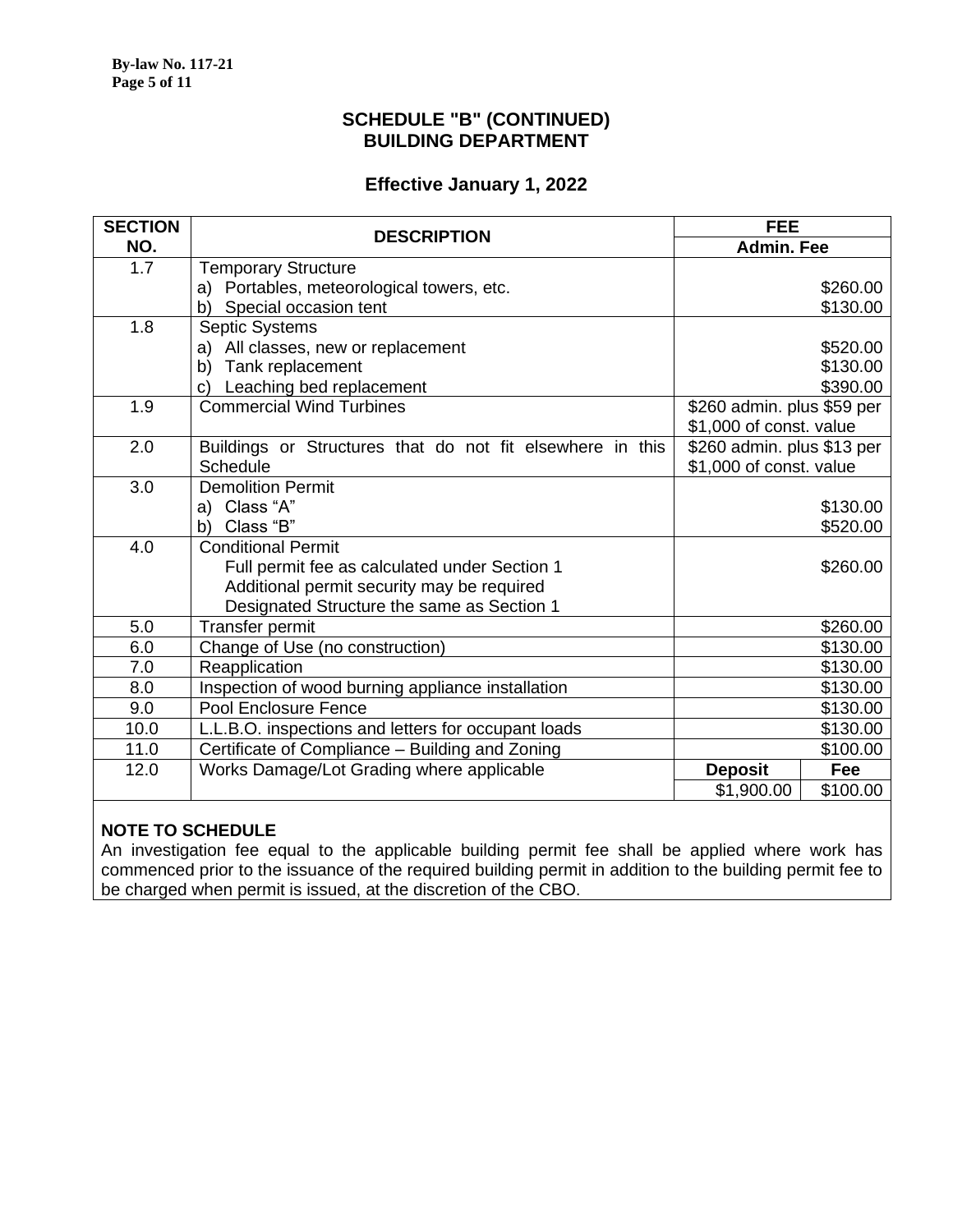#### **SCHEDULE "B" (CONTINUED) BUILDING DEPARTMENT**

#### **Effective January 1, 2022**

| <b>SECTION</b> | <b>DESCRIPTION</b>                                        | <b>FEE</b>                 |          |
|----------------|-----------------------------------------------------------|----------------------------|----------|
| NO.            |                                                           | <b>Admin. Fee</b>          |          |
| 1.7            | <b>Temporary Structure</b>                                |                            |          |
|                | a) Portables, meteorological towers, etc.                 |                            | \$260.00 |
|                | Special occasion tent<br>b)                               |                            | \$130.00 |
| 1.8            | <b>Septic Systems</b>                                     |                            |          |
|                | All classes, new or replacement<br>a)                     |                            | \$520.00 |
|                | Tank replacement<br>b)                                    |                            | \$130.00 |
|                | Leaching bed replacement<br>c)                            |                            | \$390.00 |
| 1.9            | <b>Commercial Wind Turbines</b>                           | \$260 admin. plus \$59 per |          |
|                |                                                           | \$1,000 of const. value    |          |
| 2.0            | Buildings or Structures that do not fit elsewhere in this | \$260 admin. plus \$13 per |          |
|                | Schedule                                                  | \$1,000 of const. value    |          |
| 3.0            | <b>Demolition Permit</b>                                  |                            |          |
|                | Class "A"<br>a)                                           |                            | \$130.00 |
|                | Class "B"<br>b)                                           |                            | \$520.00 |
| 4.0            | <b>Conditional Permit</b>                                 |                            |          |
|                | Full permit fee as calculated under Section 1             |                            | \$260.00 |
|                | Additional permit security may be required                |                            |          |
|                | Designated Structure the same as Section 1                |                            |          |
| 5.0            | Transfer permit                                           |                            | \$260.00 |
| 6.0            | Change of Use (no construction)                           |                            | \$130.00 |
| 7.0            | Reapplication                                             |                            | \$130.00 |
| 8.0            | Inspection of wood burning appliance installation         |                            | \$130.00 |
| 9.0            | Pool Enclosure Fence                                      |                            | \$130.00 |
| 10.0           | L.L.B.O. inspections and letters for occupant loads       |                            | \$130.00 |
| 11.0           | Certificate of Compliance - Building and Zoning           |                            | \$100.00 |
| 12.0           | Works Damage/Lot Grading where applicable                 | <b>Deposit</b>             | Fee      |
|                |                                                           | \$1,900.00                 | \$100.00 |

#### **NOTE TO SCHEDULE**

An investigation fee equal to the applicable building permit fee shall be applied where work has commenced prior to the issuance of the required building permit in addition to the building permit fee to be charged when permit is issued, at the discretion of the CBO.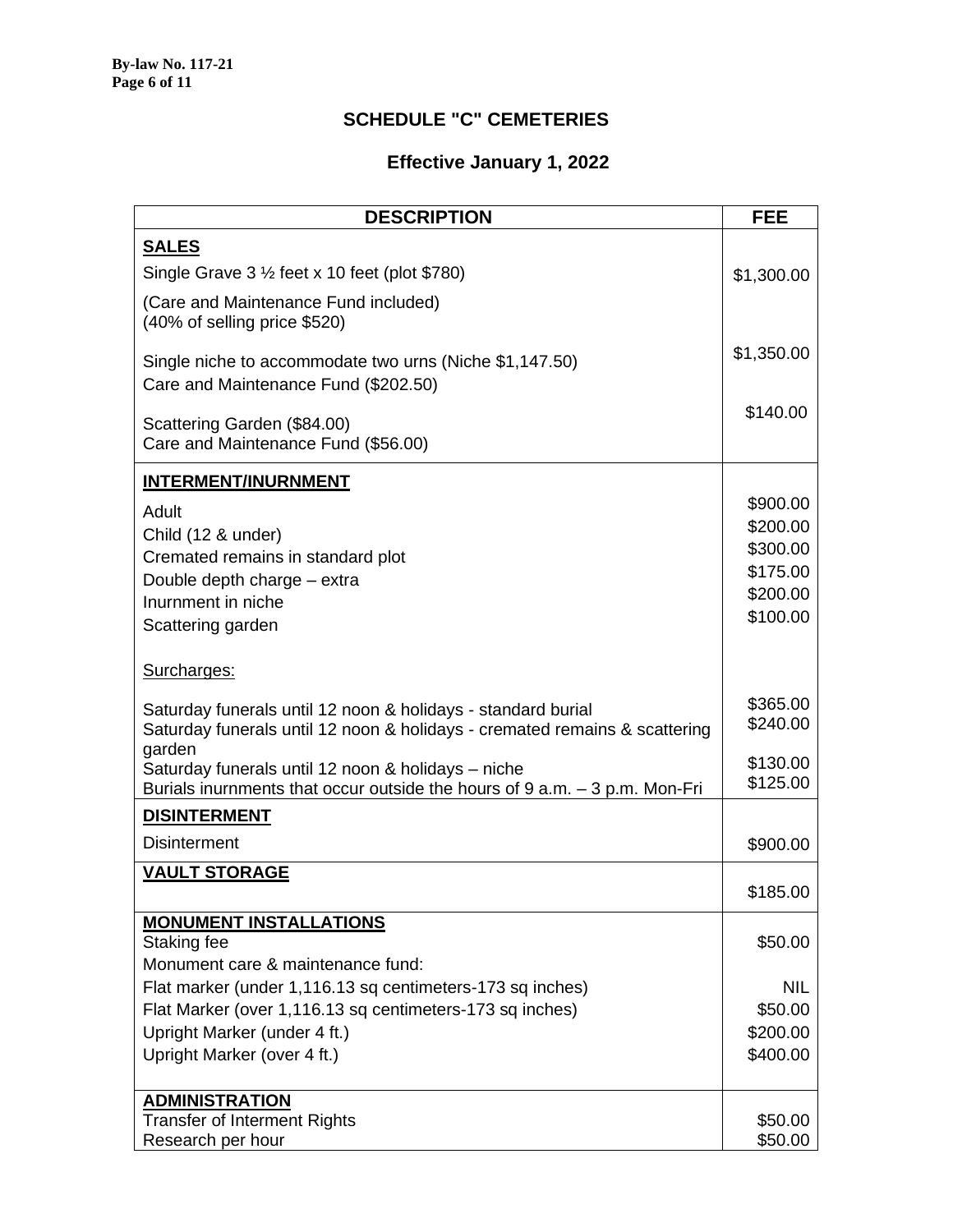## **SCHEDULE "C" CEMETERIES**

| <b>DESCRIPTION</b>                                                                                                    | <b>FEE</b>            |
|-----------------------------------------------------------------------------------------------------------------------|-----------------------|
| <b>SALES</b>                                                                                                          |                       |
| Single Grave $3\frac{1}{2}$ feet x 10 feet (plot \$780)                                                               | \$1,300.00            |
| (Care and Maintenance Fund included)                                                                                  |                       |
| (40% of selling price \$520)                                                                                          |                       |
|                                                                                                                       | \$1,350.00            |
| Single niche to accommodate two urns (Niche \$1,147.50)                                                               |                       |
| Care and Maintenance Fund (\$202.50)                                                                                  |                       |
| Scattering Garden (\$84.00)                                                                                           | \$140.00              |
| Care and Maintenance Fund (\$56.00)                                                                                   |                       |
| <b>INTERMENT/INURNMENT</b>                                                                                            |                       |
| Adult                                                                                                                 | \$900.00              |
| Child (12 & under)                                                                                                    | \$200.00              |
| Cremated remains in standard plot                                                                                     | \$300.00              |
| Double depth charge - extra                                                                                           | \$175.00              |
| Inurnment in niche                                                                                                    | \$200.00              |
| Scattering garden                                                                                                     | \$100.00              |
|                                                                                                                       |                       |
| Surcharges:                                                                                                           |                       |
| Saturday funerals until 12 noon & holidays - standard burial                                                          | \$365.00              |
| Saturday funerals until 12 noon & holidays - cremated remains & scattering                                            | \$240.00              |
| garden<br>Saturday funerals until 12 noon & holidays - niche                                                          | \$130.00              |
| Burials inurnments that occur outside the hours of $9$ a.m. $-3$ p.m. Mon-Fri                                         | \$125.00              |
| <b>DISINTERMENT</b>                                                                                                   |                       |
| <b>Disinterment</b>                                                                                                   | \$900.00              |
| <b>VAULT STORAGE</b>                                                                                                  |                       |
|                                                                                                                       | \$185.00              |
| <b>MONUMENT INSTALLATIONS</b>                                                                                         |                       |
| Staking fee                                                                                                           | \$50.00               |
| Monument care & maintenance fund:                                                                                     |                       |
| Flat marker (under 1,116.13 sq centimeters-173 sq inches)<br>Flat Marker (over 1,116.13 sq centimeters-173 sq inches) | <b>NIL</b><br>\$50.00 |
| Upright Marker (under 4 ft.)                                                                                          | \$200.00              |
| Upright Marker (over 4 ft.)                                                                                           | \$400.00              |
|                                                                                                                       |                       |
| <b>ADMINISTRATION</b>                                                                                                 |                       |
| <b>Transfer of Interment Rights</b>                                                                                   | \$50.00               |
| Research per hour                                                                                                     | \$50.00               |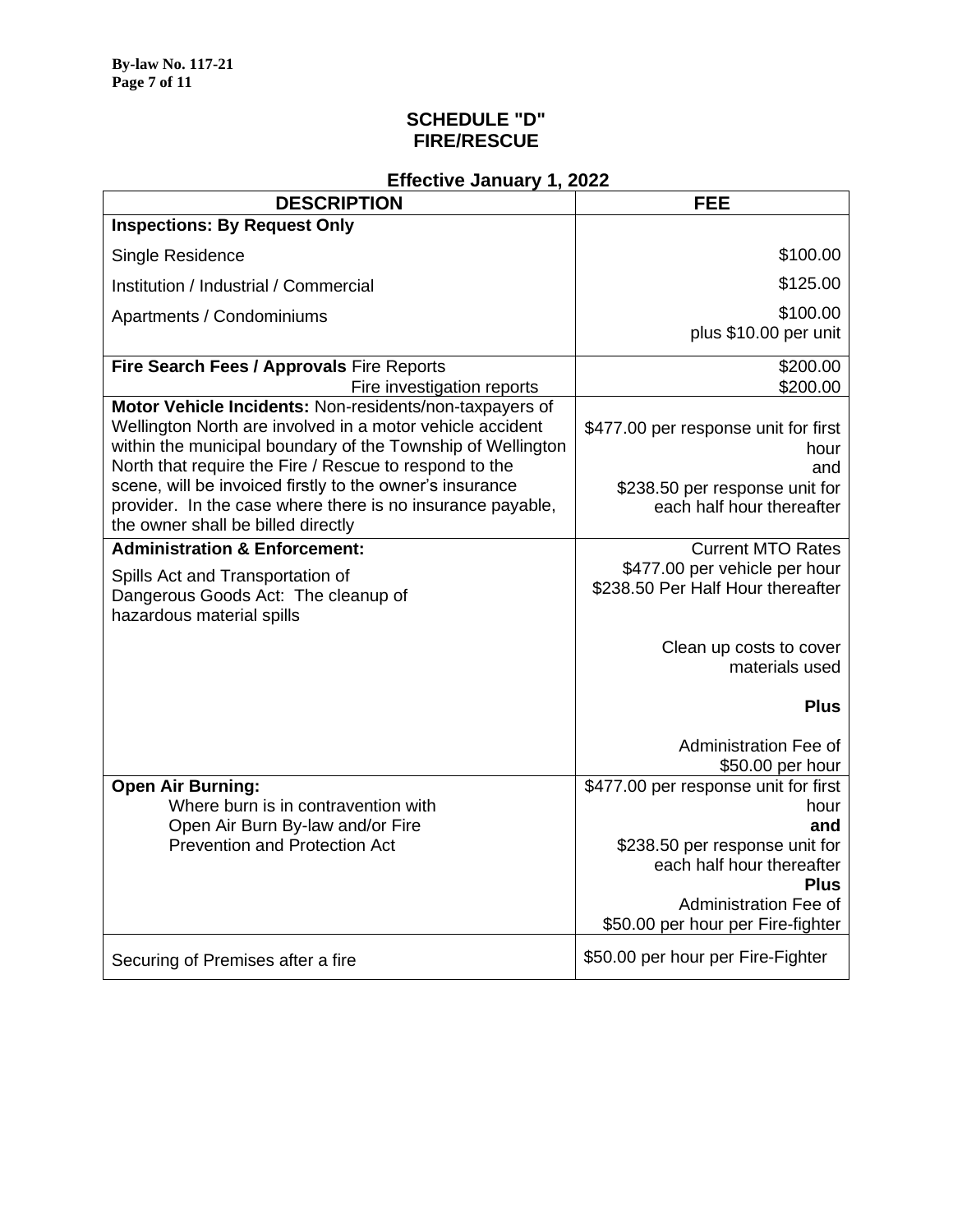### **SCHEDULE "D" FIRE/RESCUE**

| \$100.00                                                                                                                                                                                        |
|-------------------------------------------------------------------------------------------------------------------------------------------------------------------------------------------------|
| \$125.00                                                                                                                                                                                        |
| \$100.00<br>plus \$10.00 per unit                                                                                                                                                               |
| \$200.00<br>\$200.00                                                                                                                                                                            |
| \$477.00 per response unit for first<br>within the municipal boundary of the Township of Wellington<br>hour<br>and<br>\$238.50 per response unit for<br>each half hour thereafter               |
| <b>Current MTO Rates</b><br>\$477.00 per vehicle per hour<br>\$238.50 Per Half Hour thereafter                                                                                                  |
| Clean up costs to cover<br>materials used                                                                                                                                                       |
| <b>Plus</b>                                                                                                                                                                                     |
| Administration Fee of<br>\$50.00 per hour                                                                                                                                                       |
| \$477.00 per response unit for first<br>hour<br>and<br>\$238.50 per response unit for<br>each half hour thereafter<br><b>Plus</b><br>Administration Fee of<br>\$50.00 per hour per Fire-fighter |
| \$50.00 per hour per Fire-Fighter                                                                                                                                                               |
|                                                                                                                                                                                                 |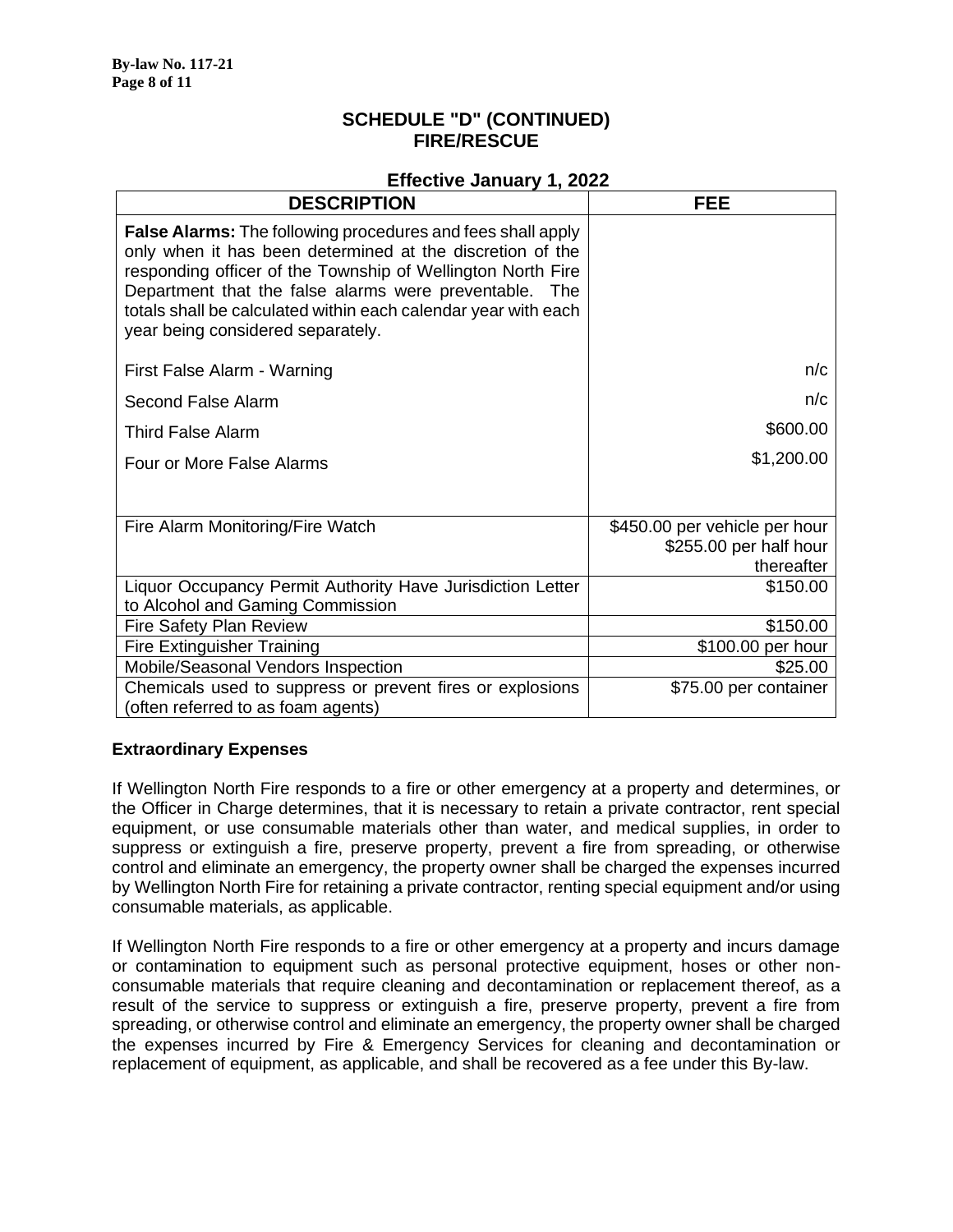#### **SCHEDULE "D" (CONTINUED) FIRE/RESCUE**

#### **Effective January 1, 2022**

| <b>DESCRIPTION</b>                                                                                                                                                                                                                                                                                                                                              | <b>FEE</b>                                                            |
|-----------------------------------------------------------------------------------------------------------------------------------------------------------------------------------------------------------------------------------------------------------------------------------------------------------------------------------------------------------------|-----------------------------------------------------------------------|
| <b>False Alarms:</b> The following procedures and fees shall apply<br>only when it has been determined at the discretion of the<br>responding officer of the Township of Wellington North Fire<br>Department that the false alarms were preventable. The<br>totals shall be calculated within each calendar year with each<br>year being considered separately. |                                                                       |
| First False Alarm - Warning                                                                                                                                                                                                                                                                                                                                     | n/c                                                                   |
| Second False Alarm                                                                                                                                                                                                                                                                                                                                              | n/c                                                                   |
| <b>Third False Alarm</b>                                                                                                                                                                                                                                                                                                                                        | \$600.00                                                              |
| Four or More False Alarms                                                                                                                                                                                                                                                                                                                                       | \$1,200.00                                                            |
| Fire Alarm Monitoring/Fire Watch                                                                                                                                                                                                                                                                                                                                | \$450.00 per vehicle per hour<br>\$255.00 per half hour<br>thereafter |
| Liquor Occupancy Permit Authority Have Jurisdiction Letter<br>to Alcohol and Gaming Commission                                                                                                                                                                                                                                                                  | \$150.00                                                              |
| Fire Safety Plan Review                                                                                                                                                                                                                                                                                                                                         | \$150.00                                                              |
| <b>Fire Extinguisher Training</b>                                                                                                                                                                                                                                                                                                                               | \$100.00 per hour                                                     |
| Mobile/Seasonal Vendors Inspection                                                                                                                                                                                                                                                                                                                              | \$25.00                                                               |
| Chemicals used to suppress or prevent fires or explosions<br>(often referred to as foam agents)                                                                                                                                                                                                                                                                 | \$75.00 per container                                                 |

#### **Extraordinary Expenses**

If Wellington North Fire responds to a fire or other emergency at a property and determines, or the Officer in Charge determines, that it is necessary to retain a private contractor, rent special equipment, or use consumable materials other than water, and medical supplies, in order to suppress or extinguish a fire, preserve property, prevent a fire from spreading, or otherwise control and eliminate an emergency, the property owner shall be charged the expenses incurred by Wellington North Fire for retaining a private contractor, renting special equipment and/or using consumable materials, as applicable.

If Wellington North Fire responds to a fire or other emergency at a property and incurs damage or contamination to equipment such as personal protective equipment, hoses or other nonconsumable materials that require cleaning and decontamination or replacement thereof, as a result of the service to suppress or extinguish a fire, preserve property, prevent a fire from spreading, or otherwise control and eliminate an emergency, the property owner shall be charged the expenses incurred by Fire & Emergency Services for cleaning and decontamination or replacement of equipment, as applicable, and shall be recovered as a fee under this By-law.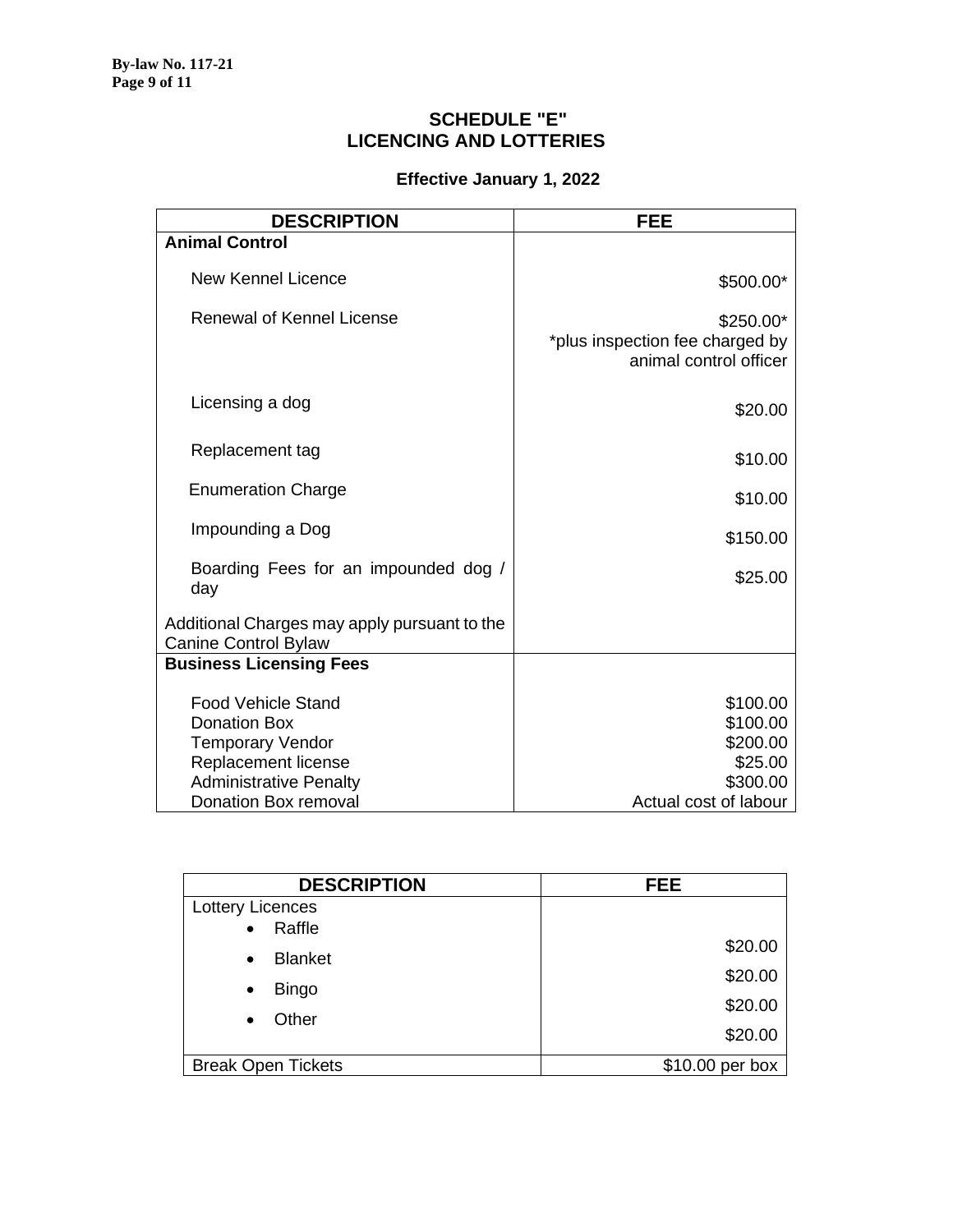### **SCHEDULE "E" LICENCING AND LOTTERIES**

| <b>DESCRIPTION</b>                                                                                                                  | <b>FEE</b>                                                             |
|-------------------------------------------------------------------------------------------------------------------------------------|------------------------------------------------------------------------|
| <b>Animal Control</b>                                                                                                               |                                                                        |
| <b>New Kennel Licence</b>                                                                                                           | \$500.00*                                                              |
| <b>Renewal of Kennel License</b>                                                                                                    | \$250.00*<br>*plus inspection fee charged by<br>animal control officer |
| Licensing a dog                                                                                                                     | \$20.00                                                                |
| Replacement tag                                                                                                                     | \$10.00                                                                |
| <b>Enumeration Charge</b>                                                                                                           | \$10.00                                                                |
| Impounding a Dog                                                                                                                    | \$150.00                                                               |
| Boarding Fees for an impounded dog /<br>day                                                                                         | \$25.00                                                                |
| Additional Charges may apply pursuant to the<br>Canine Control Bylaw                                                                |                                                                        |
| <b>Business Licensing Fees</b>                                                                                                      |                                                                        |
| <b>Food Vehicle Stand</b><br><b>Donation Box</b><br><b>Temporary Vendor</b><br>Replacement license<br><b>Administrative Penalty</b> | \$100.00<br>\$100.00<br>\$200.00<br>\$25.00<br>\$300.00                |
| Donation Box removal                                                                                                                | Actual cost of labour                                                  |

| <b>DESCRIPTION</b>          | <b>FEE</b>      |
|-----------------------------|-----------------|
| Lottery Licences            |                 |
| Raffle<br>$\bullet$         |                 |
| <b>Blanket</b><br>$\bullet$ | \$20.00         |
|                             | \$20.00         |
| <b>Bingo</b><br>$\bullet$   | \$20.00         |
| Other<br>$\bullet$          |                 |
|                             | \$20.00         |
| <b>Break Open Tickets</b>   | \$10.00 per box |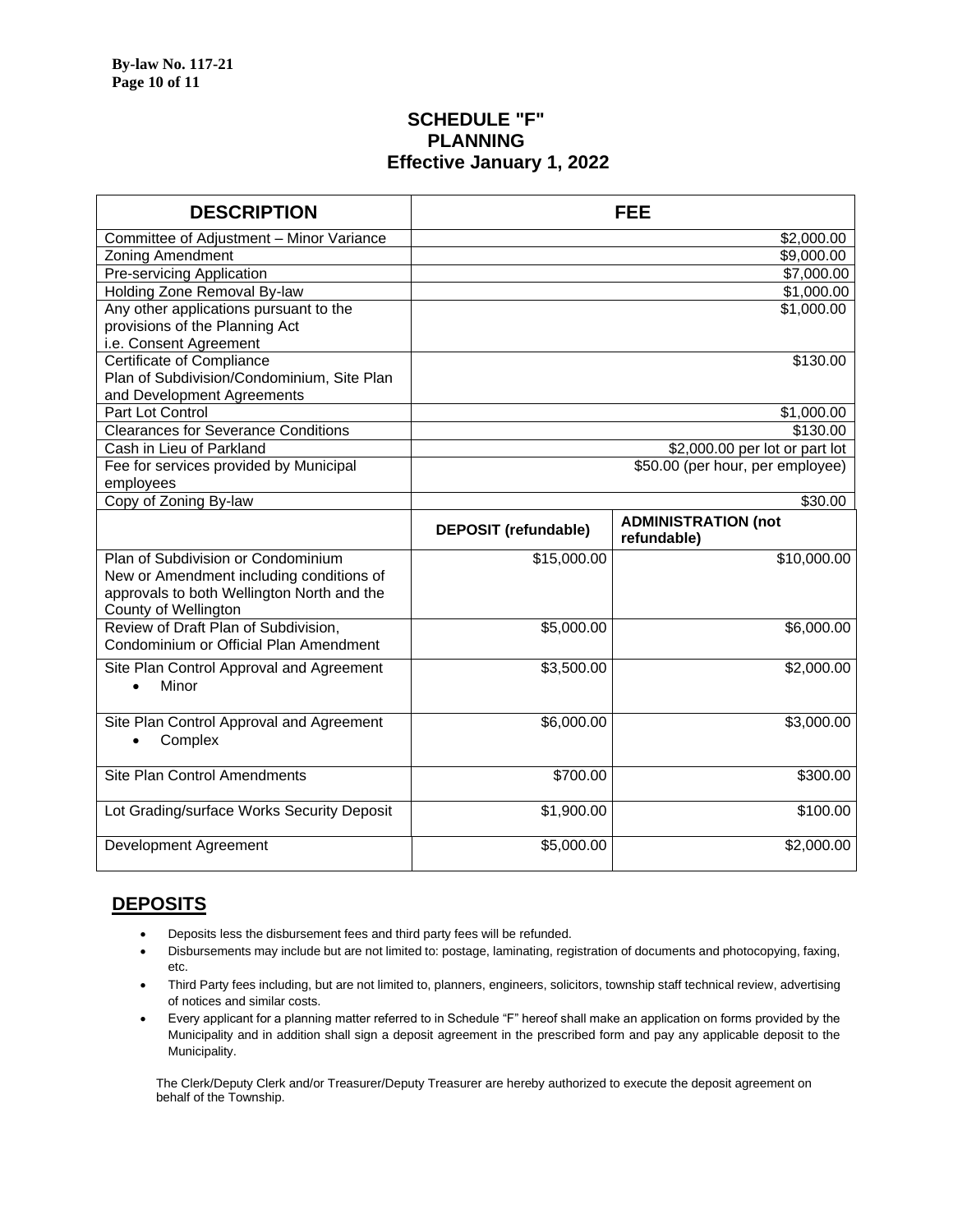#### **SCHEDULE "F" PLANNING Effective January 1, 2022**

| <b>DESCRIPTION</b>                         |                             | <b>FEE</b>                                |  |
|--------------------------------------------|-----------------------------|-------------------------------------------|--|
| Committee of Adjustment - Minor Variance   |                             | \$2,000.00                                |  |
| <b>Zoning Amendment</b>                    |                             | \$9,000.00                                |  |
| Pre-servicing Application                  | \$7,000.00                  |                                           |  |
| Holding Zone Removal By-law                |                             | \$1,000.00                                |  |
| Any other applications pursuant to the     |                             | \$1,000.00                                |  |
| provisions of the Planning Act             |                             |                                           |  |
| i.e. Consent Agreement                     |                             |                                           |  |
| <b>Certificate of Compliance</b>           | \$130.00                    |                                           |  |
| Plan of Subdivision/Condominium, Site Plan |                             |                                           |  |
| and Development Agreements                 |                             |                                           |  |
| Part Lot Control                           |                             | \$1,000.00                                |  |
| <b>Clearances for Severance Conditions</b> |                             | \$130.00                                  |  |
| Cash in Lieu of Parkland                   |                             | \$2,000.00 per lot or part lot            |  |
| Fee for services provided by Municipal     |                             | \$50.00 (per hour, per employee)          |  |
| employees                                  |                             |                                           |  |
| Copy of Zoning By-law                      | \$30.00                     |                                           |  |
|                                            | <b>DEPOSIT (refundable)</b> | <b>ADMINISTRATION (not</b><br>refundable) |  |
| Plan of Subdivision or Condominium         | \$15,000.00                 | \$10,000.00                               |  |
| New or Amendment including conditions of   |                             |                                           |  |
| approvals to both Wellington North and the |                             |                                           |  |
| County of Wellington                       |                             |                                           |  |
| Review of Draft Plan of Subdivision,       | \$5,000.00                  | \$6,000.00                                |  |
| Condominium or Official Plan Amendment     |                             |                                           |  |
| Site Plan Control Approval and Agreement   | \$3,500.00                  | \$2,000.00                                |  |
| Minor<br>$\bullet$                         |                             |                                           |  |
|                                            |                             |                                           |  |
| Site Plan Control Approval and Agreement   | \$6,000.00                  | \$3,000.00                                |  |
| Complex<br>$\bullet$                       |                             |                                           |  |
|                                            |                             |                                           |  |
| Site Plan Control Amendments               | \$700.00                    | \$300.00                                  |  |
|                                            |                             |                                           |  |
| Lot Grading/surface Works Security Deposit | \$1,900.00                  | \$100.00                                  |  |
|                                            |                             |                                           |  |
| Development Agreement                      | \$5,000.00                  | \$2,000.00                                |  |
|                                            |                             |                                           |  |

### **DEPOSITS**

- Deposits less the disbursement fees and third party fees will be refunded.
- Disbursements may include but are not limited to: postage, laminating, registration of documents and photocopying, faxing, etc.
- Third Party fees including, but are not limited to, planners, engineers, solicitors, township staff technical review, advertising of notices and similar costs.
- Every applicant for a planning matter referred to in Schedule "F" hereof shall make an application on forms provided by the Municipality and in addition shall sign a deposit agreement in the prescribed form and pay any applicable deposit to the Municipality.

The Clerk/Deputy Clerk and/or Treasurer/Deputy Treasurer are hereby authorized to execute the deposit agreement on behalf of the Township.